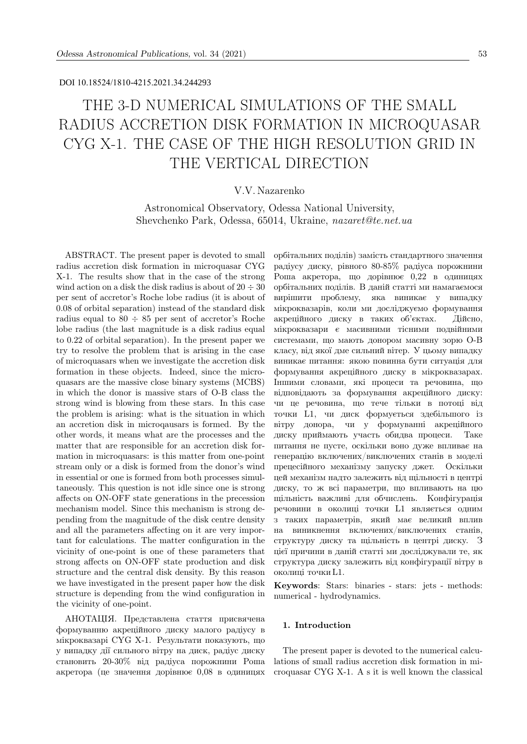### DOI 10.18524/1810-4215.2021.34.244293

# THE 3-D NUMERICAL SIMULATIONS OF THE SMALL RADIUS ACCRETION DISK FORMATION IN MICROQUASAR CYG X-1. THE CASE OF THE HIGH RESOLUTION GRID IN THE VERTICAL DIRECTION

## V.V. Nazarenko

Astronomical Observatory, Odessa National University, Shevchenko Park, Odessa, 65014, Ukraine, nazaret@te.net.ua

ABSTRACT. The present paper is devoted to small radius accretion disk formation in microquasar CYG X-1. The results show that in the case of the strong wind action on a disk the disk radius is about of  $20 \div 30$ per sent of accretor's Roche lobe radius (it is about of 0.08 of orbital separation) instead of the standard disk radius equal to  $80 \div 85$  per sent of accretor's Roche lobe radius (the last magnitude is a disk radius equal to 0.22 of orbital separation). In the present paper we try to resolve the problem that is arising in the case of microquasars when we investigate the accretion disk formation in these objects. Indeed, since the microquasars are the massive close binary systems (MCBS) in which the donor is massive stars of O-B class the strong wind is blowing from these stars. In this case the problem is arising: what is the situation in which an accretion disk in microqausars is formed. By the other words, it means what are the processes and the matter that are responsible for an accretion disk formation in microquasars: is this matter from one-point stream only or a disk is formed from the donor's wind in essential or one is formed from both processes simultaneously. This question is not idle since one is strong affects on ON-OFF state generations in the precession mechanism model. Since this mechanism is strong depending from the magnitude of the disk centre density and all the parameters affecting on it are very important for calculations. The matter configuration in the vicinity of one-point is one of these parameters that strong affects on ON-OFF state production and disk structure and the central disk density. By this reason we have investigated in the present paper how the disk structure is depending from the wind configuration in the vicinity of one-point.

АНОТАЦIЯ. Представлена стаття присвячена формуванню акрецiйного диску малого радiусу в мiкроквазарi CYG X-1. Результати показують, що у випадку дiї сильного вiтру на диск, радiус диску становить 20-30% вiд радiуса порожнини Роша акретора (це значення дорiвнює 0,08 в одиницях орбiтальних подiлiв) замiсть стандартного значення радiусу диску, рiвного 80-85% радiуса порожнини Роша акретора, що дорiвнює 0,22 в одиницях орбiтальних подiлiв. В данiй статтi ми намагаємося вирiшити проблему, яка виникає у випадку мiкроквазарiв, коли ми дослiджуємо формування акрецiйного диску в таких об'єктах. Дiйсно, мiкроквазари є масивними тiсними подвiйними системами, що мають донором масивну зорю O-B класу, вiд якої дме сильний вiтер. У цьому випадку виникає питання: якою повинна бути ситуацiя для формування акрецiйного диску в мiкроквазарах. Iншими словами, якi процеси та речовина, що вiдповiдають за формування акрецiйного диску: чи це речовина, що тече тiльки в потоцi вiд точки L1, чи диск формується здебiльшого iз вiтру донора, чи у формуваннi акрецiйного диску приймають участь обидва процеси. Таке питання не пусте, оскiльки воно дуже впливає на генерацiю включених/виключених станiв в моделi прецесiйного механiзму запуску джет. Оскiльки цей механiзм надто залежить вiд щiльностi в центрi диску, то ж всi параметри, що впливають на цю щiльнiсть важливi для обчислень. Конфiгурацiя речовини в околицi точки L1 являється одним з таких параметрiв, який має великий вплив на виникнення включених/виключених станiв, структуру диску та щiльнiсть в центрi диску. З цiєї причини в данiй статтi ми дослiджували те, як структура диску залежить вiд конфiгурацiї вiтру в околицi точки L1.

Keywords: Stars: binaries - stars: jets - methods: numerical - hydrodynamics.

#### 1. Introduction

The present paper is devoted to the numerical calculations of small radius accretion disk formation in microquasar CYG X-1. A s it is well known the classical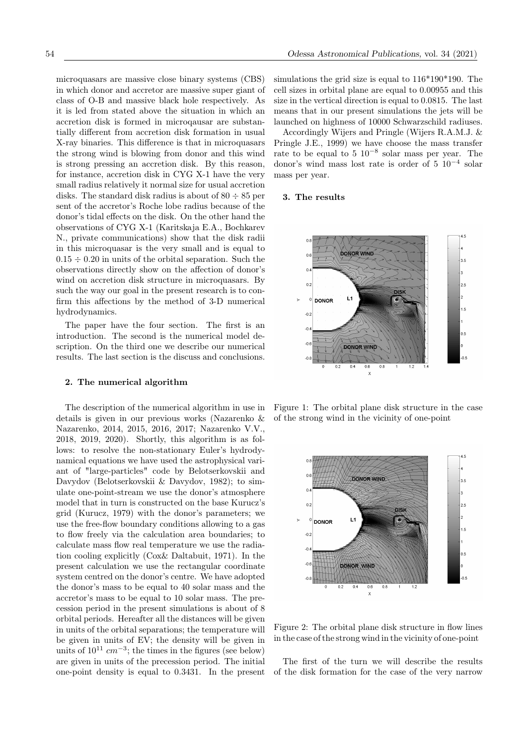microquasars are massive close binary systems (CBS) in which donor and accretor are massive super giant of class of O-B and massive black hole respectively. As it is led from stated above the situation in which an accretion disk is formed in microqausar are substantially different from accretion disk formation in usual X-ray binaries. This difference is that in microquasars the strong wind is blowing from donor and this wind is strong pressing an accretion disk. By this reason, for instance, accretion disk in CYG X-1 have the very small radius relatively it normal size for usual accretion disks. The standard disk radius is about of  $80 \div 85$  per sent of the accretor's Roche lobe radius because of the donor's tidal effects on the disk. On the other hand the observations of CYG X-1 (Karitskaja E.A., Bochkarev N., private communications) show that the disk radii in this microquasar is the very small and is equal to  $0.15 \div 0.20$  in units of the orbital separation. Such the observations directly show on the affection of donor's wind on accretion disk structure in microquasars. By such the way our goal in the present research is to confirm this affections by the method of 3-D numerical hydrodynamics.

The paper have the four section. The first is an introduction. The second is the numerical model description. On the third one we describe our numerical results. The last section is the discuss and conclusions.

#### 2. The numerical algorithm

The description of the numerical algorithm in use in details is given in our previous works (Nazarenko & Nazarenko, 2014, 2015, 2016, 2017; Nazarenko V.V., 2018, 2019, 2020). Shortly, this algorithm is as follows: to resolve the non-stationary Euler's hydrodynamical equations we have used the astrophysical variant of "large-particles" code by Belotserkovskii and Davydov (Belotserkovskii & Davydov, 1982); to simulate one-point-stream we use the donor's atmosphere model that in turn is constructed on the base Kurucz's grid (Kurucz, 1979) with the donor's parameters; we use the free-flow boundary conditions allowing to a gas to flow freely via the calculation area boundaries; to calculate mass flow real temperature we use the radiation cooling explicitly (Cox& Daltabuit, 1971). In the present calculation we use the rectangular coordinate system centred on the donor's centre. We have adopted the donor's mass to be equal to 40 solar mass and the accretor's mass to be equal to 10 solar mass. The precession period in the present simulations is about of 8 orbital periods. Hereafter all the distances will be given in units of the orbital separations; the temperature will be given in units of EV; the density will be given in units of  $10^{11}$   $cm^{-3}$ ; the times in the figures (see below) are given in units of the precession period. The initial one-point density is equal to 0.3431. In the present simulations the grid size is equal to 116\*190\*190. The cell sizes in orbital plane are equal to 0.00955 and this size in the vertical direction is equal to 0.0815. The last means that in our present simulations the jets will be launched on highness of 10000 Schwarzschild radiuses.

Accordingly Wijers and Pringle (Wijers R.A.M.J. & Pringle J.E., 1999) we have choose the mass transfer rate to be equal to 5 10−<sup>8</sup> solar mass per year. The donor's wind mass lost rate is order of 5 10−<sup>4</sup> solar mass per year.

#### 3. The results



Figure 1: The orbital plane disk structure in the case of the strong wind in the vicinity of one-point



Figure 2: The orbital plane disk structure in flow lines in the case of the strong wind in the vicinity of one-point

The first of the turn we will describe the results of the disk formation for the case of the very narrow